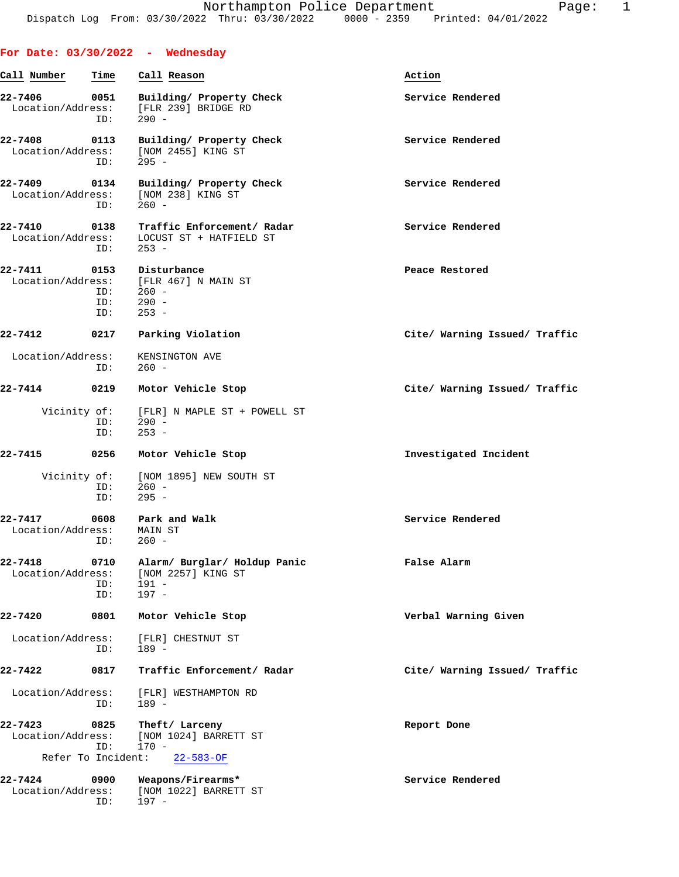|                                  |                           | For Date: $03/30/2022 -$ Wednesday                                                      |                               |
|----------------------------------|---------------------------|-----------------------------------------------------------------------------------------|-------------------------------|
| Call Number                      | Time                      | Call Reason                                                                             | Action                        |
| 22-7406<br>Location/Address:     | 0051<br>ID:               | Building/ Property Check<br>[FLR 239] BRIDGE RD<br>290 -                                | Service Rendered              |
| 22-7408<br>Location/Address:     | 0113<br>ID:               | Building/ Property Check<br>[NOM 2455] KING ST<br>295 -                                 | Service Rendered              |
| 22-7409<br>Location/Address:     | 0134<br>ID:               | Building/ Property Check<br>[NOM 238] KING ST<br>$260 -$                                | Service Rendered              |
| 22-7410                          | ID:                       | 0138 Traffic Enforcement/ Radar<br>Location/Address: LOCUST ST + HATFIELD ST<br>$253 -$ | Service Rendered              |
| 22-7411                          | 0153<br>ID:<br>ID:<br>ID: | Disturbance<br>Location/Address: [FLR 467] N MAIN ST<br>$260 -$<br>$290 -$<br>$253 -$   | Peace Restored                |
| 22-7412                          | 0217                      | Parking Violation                                                                       | Cite/ Warning Issued/ Traffic |
| Location/Address:                | ID:                       | KENSINGTON AVE<br>260 -                                                                 |                               |
| $22 - 7414$                      | 0219                      | Motor Vehicle Stop                                                                      | Cite/ Warning Issued/ Traffic |
| Vicinity of:                     | ID:<br>ID:                | [FLR] N MAPLE ST + POWELL ST<br>290 -<br>$253 -$                                        |                               |
| 22-7415                          | 0256                      | Motor Vehicle Stop                                                                      | Investigated Incident         |
| Vicinity of:                     | ID:<br>ID:                | [NOM 1895] NEW SOUTH ST<br>$260 -$<br>295 -                                             |                               |
| 22-7417<br>Location/Address:     | TD:                       | 0608 Park and Walk<br>MAIN ST<br>$260 -$                                                | Service Rendered              |
| 22-7418<br>Location/Address:     | 0710<br>ID:<br>ID:        | Alarm/ Burglar/ Holdup Panic<br>[NOM 2257] KING ST<br>191 -<br>$197 -$                  | False Alarm                   |
| 22-7420                          | 0801                      | Motor Vehicle Stop                                                                      | Verbal Warning Given          |
| Location/Address:                | ID:                       | [FLR] CHESTNUT ST<br>$189 -$                                                            |                               |
| 22-7422                          | 0817                      | Traffic Enforcement/ Radar                                                              | Cite/ Warning Issued/ Traffic |
| Location/Address:                | ID:                       | [FLR] WESTHAMPTON RD<br>$189 -$                                                         |                               |
| 22-7423<br>Location/Address:     | 0825<br>ID:               | Theft/ Larceny<br>[NOM 1024] BARRETT ST<br>$170 -$                                      | Report Done                   |
|                                  | Refer To Incident:        | $22 - 583 - OF$                                                                         |                               |
| $22 - 7424$<br>Location/Address: | 0900<br>ID:               | Weapons/Firearms*<br>[NOM 1022] BARRETT ST<br>$197 -$                                   | Service Rendered              |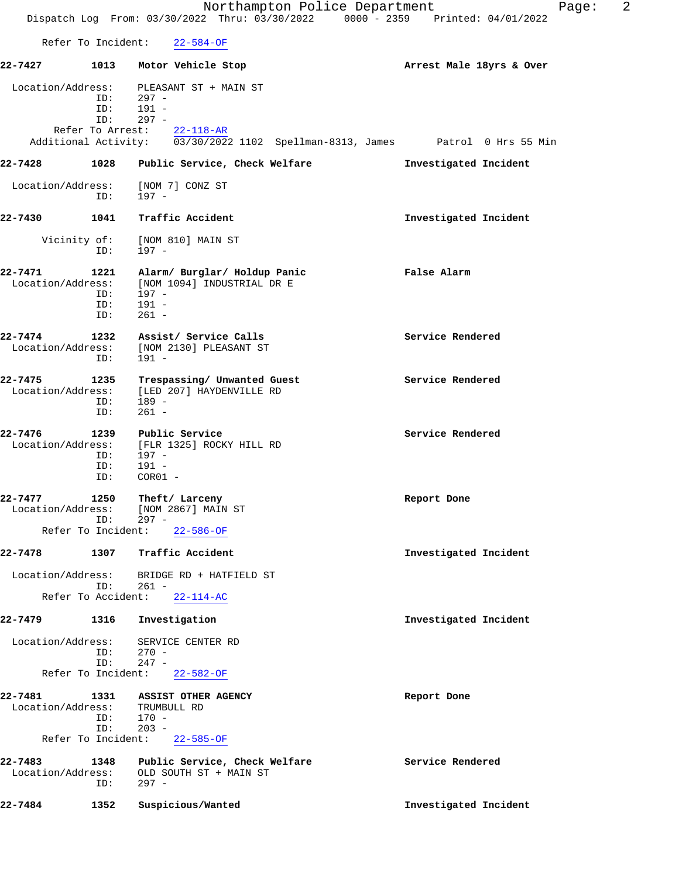|                                                    |                           | Northampton Police Department<br>Dispatch Log From: 03/30/2022 Thru: 03/30/2022 0000 - 2359 Printed: 04/01/2022 | 2<br>Page:               |
|----------------------------------------------------|---------------------------|-----------------------------------------------------------------------------------------------------------------|--------------------------|
| Refer To Incident:                                 |                           | $22 - 584 - OF$                                                                                                 |                          |
| 22-7427                                            | 1013                      | Motor Vehicle Stop                                                                                              | Arrest Male 18yrs & Over |
| Location/Address:                                  | ID:<br>ID:<br>ID:         | PLEASANT ST + MAIN ST<br>297 -<br>191 -<br>$297 -$                                                              |                          |
|                                                    |                           | Refer To Arrest: 22-118-AR                                                                                      |                          |
|                                                    |                           | Additional Activity: 03/30/2022 1102 Spellman-8313, James Patrol 0 Hrs 55 Min                                   |                          |
| 22-7428                                            | 1028                      | Public Service, Check Welfare The Investigated Incident                                                         |                          |
| Location/Address:                                  | ID:                       | [NOM 7] CONZ ST<br>$197 -$                                                                                      |                          |
| 22-7430                                            | 1041                      | Traffic Accident                                                                                                | Investigated Incident    |
| Vicinity of:                                       | ID:                       | [NOM 810] MAIN ST<br>197 -                                                                                      |                          |
| 22-7471<br>Location/Address:                       | 1221<br>ID:<br>ID:<br>ID: | Alarm/ Burglar/ Holdup Panic<br>[NOM 1094] INDUSTRIAL DR E<br>197 -<br>191 -<br>$261 -$                         | False Alarm              |
| 22-7474<br>Location/Address:                       | 1232<br>ID:               | Assist/ Service Calls<br>[NOM 2130] PLEASANT ST<br>191 -                                                        | Service Rendered         |
| 22-7475<br>Location/Address:                       | 1235<br>ID:<br>ID:        | Trespassing/ Unwanted Guest<br>[LED 207] HAYDENVILLE RD<br>$189 -$<br>$261 -$                                   | Service Rendered         |
| 22-7476<br>Location/Address:                       | 1239<br>ID:<br>ID:<br>ID: | Public Service<br>[FLR 1325] ROCKY HILL RD<br>197 -<br>191 -<br>$COR01 -$                                       | Service Rendered         |
| Location/Address:<br>Refer To Incident:            | ID:                       | 22-7477 1250 Theft/Larceny<br>[NOM 2867] MAIN ST<br>$297 -$<br>$22 - 586 - OF$                                  | Report Done              |
| 22-7478                                            | 1307                      | Traffic Accident                                                                                                | Investigated Incident    |
| Location/Address:<br>Refer To Accident:            | ID:                       | BRIDGE RD + HATFIELD ST<br>$261 -$<br>$22 - 114 - AC$                                                           |                          |
| 22-7479                                            | 1316                      | Investigation                                                                                                   | Investigated Incident    |
| Location/Address:<br>Refer To Incident:            | ID:<br>ID:                | SERVICE CENTER RD<br>$270 -$<br>$247 -$<br>22-582-OF                                                            |                          |
| 22-7481<br>Location/Address:                       | 1331<br>ID:<br>ID:        | <b>ASSIST OTHER AGENCY</b><br>TRUMBULL RD<br>170 -<br>$203 -$                                                   | Report Done              |
| Refer To Incident:<br>22-7483<br>Location/Address: | 1348<br>ID:               | $22 - 585 - OF$<br>Public Service, Check Welfare<br>OLD SOUTH ST + MAIN ST<br>$297 -$                           | Service Rendered         |
| 22-7484                                            | 1352                      | Suspicious/Wanted                                                                                               | Investigated Incident    |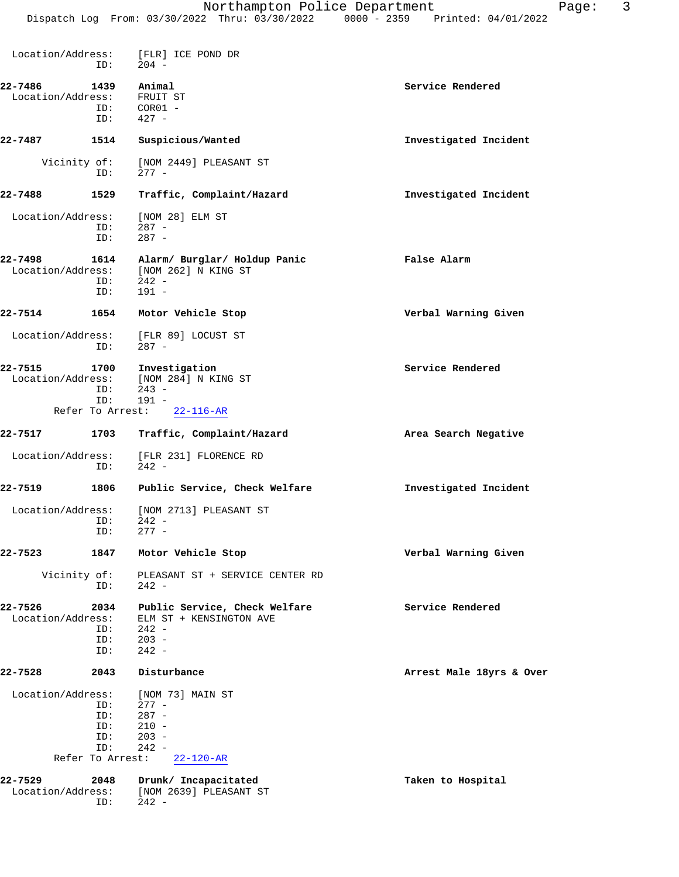| Location/Address:            | ID:                                                 | [FLR] ICE POND DR<br>$204 -$                                                               |                          |
|------------------------------|-----------------------------------------------------|--------------------------------------------------------------------------------------------|--------------------------|
| 22-7486<br>Location/Address: | 1439<br>ID:<br>ID:                                  | Animal<br>FRUIT ST<br>$COR01 -$<br>$427 -$                                                 | Service Rendered         |
| 22-7487                      | 1514                                                | Suspicious/Wanted                                                                          | Investigated Incident    |
| Vicinity of:                 | ID:                                                 | [NOM 2449] PLEASANT ST<br>$277 -$                                                          |                          |
| 22-7488                      | 1529                                                | Traffic, Complaint/Hazard                                                                  | Investigated Incident    |
| Location/Address:            | ID:<br>ID:                                          | [NOM 28] ELM ST<br>$287 -$<br>$287 -$                                                      |                          |
| 22-7498<br>Location/Address: | 1614<br>ID:<br>ID:                                  | Alarm/ Burglar/ Holdup Panic<br>[NOM 262] N KING ST<br>$242 -$<br>$191 -$                  | False Alarm              |
| 22-7514                      | 1654                                                | Motor Vehicle Stop                                                                         | Verbal Warning Given     |
| Location/Address:            | ID:                                                 | [FLR 89] LOCUST ST<br>$287 -$                                                              |                          |
| 22-7515<br>Location/Address: | 1700<br>ID:<br>ID:<br>Refer To Arrest:              | Investigation<br>[NOM 284] N KING ST<br>$243 -$<br>$191 -$<br>$22 - 116 - AR$              | Service Rendered         |
| 22-7517                      | 1703                                                | Traffic, Complaint/Hazard                                                                  | Area Search Negative     |
| Location/Address:            | ID:                                                 | [FLR 231] FLORENCE RD<br>$242 -$                                                           |                          |
| 22-7519                      | 1806                                                | Public Service, Check Welfare                                                              | Investigated Incident    |
| Location/Address:            | ID:<br>ID:                                          | [NOM 2713] PLEASANT ST<br>$242 -$<br>$277 -$                                               |                          |
| 22-7523                      | 1847                                                | Motor Vehicle Stop                                                                         | Verbal Warning Given     |
| Vicinity of:                 | ID:                                                 | PLEASANT ST + SERVICE CENTER RD<br>$242 -$                                                 |                          |
| 22-7526<br>Location/Address: | 2034<br>ID:<br>ID:<br>ID:                           | Public Service, Check Welfare<br>ELM ST + KENSINGTON AVE<br>$242 -$<br>$203 -$<br>$242 -$  | Service Rendered         |
| 22-7528                      | 2043                                                | Disturbance                                                                                | Arrest Male 18yrs & Over |
| Location/Address:            | ID:<br>ID:<br>ID:<br>ID:<br>ID:<br>Refer To Arrest: | [NOM 73] MAIN ST<br>$277 -$<br>$287 -$<br>$210 -$<br>$203 -$<br>$242 -$<br>$22 - 120 - AR$ |                          |

| 22-7529           | 2048 | Drunk/ Incapacitated   | Taken to Hospital |
|-------------------|------|------------------------|-------------------|
| Location/Address: |      | [NOM 2639] PLEASANT ST |                   |
|                   | ID:  | 242 -                  |                   |